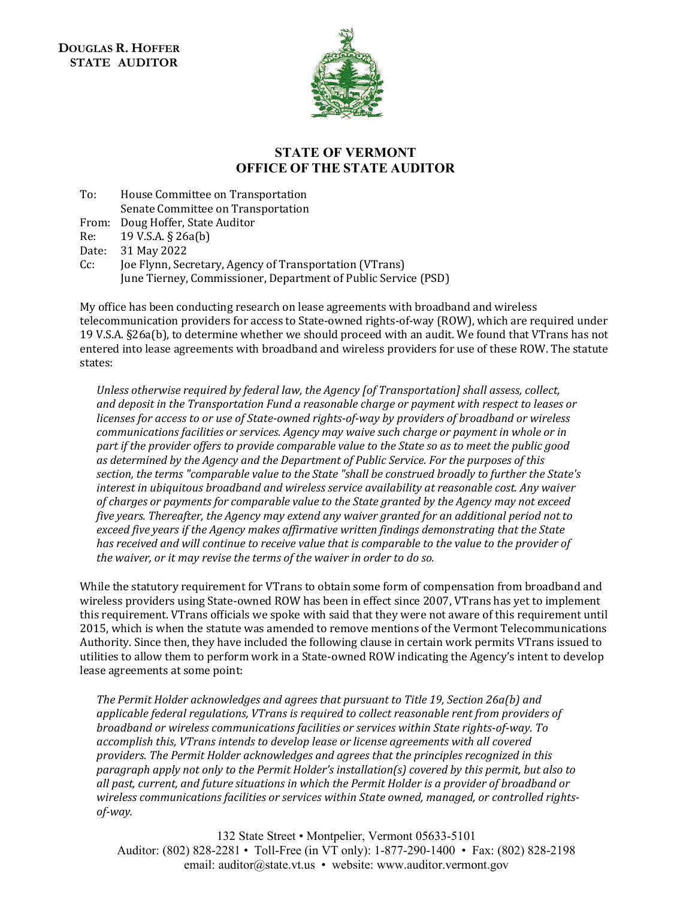**DOUGLAS R. HOFFER STATE AUDITOR**



## **STATE OF VERMONT OFFICE OF THE STATE AUDITOR**

To: House Committee on Transportation

Senate Committee on Transportation

From: Doug Hoffer, State Auditor<br>Re: 19 V.S.A. § 26a(b)

Re: 19 V.S.A. § 26a(b)<br>Date: 31 May 2022

Date: 31 May 2022<br>Cc: Ioe Flynn. Sec

Cc: Joe Flynn, Secretary, Agency of Transportation (VTrans) June Tierney, Commissioner, Department of Public Service (PSD)

My office has been conducting research on lease agreements with broadband and wireless telecommunication providers for access to State-owned rights-of-way (ROW), which are required under 19 V.S.A. §26a(b), to determine whether we should proceed with an audit. We found that VTrans has not entered into lease agreements with broadband and wireless providers for use of these ROW. The statute states:

*Unless otherwise required by federal law, the Agency [of Transportation] shall assess, collect, and deposit in the Transportation Fund a reasonable charge or payment with respect to leases or licenses for access to or use of State-owned rights-of-way by providers of broadband or wireless communications facilities or services. Agency may waive such charge or payment in whole or in part if the provider offers to provide comparable value to the State so as to meet the public good as determined by the Agency and the Department of Public Service. For the purposes of this section, the terms "comparable value to the State "shall be construed broadly to further the State's interest in ubiquitous broadband and wireless service availability at reasonable cost. Any waiver of charges or payments for comparable value to the State granted by the Agency may not exceed five years. Thereafter, the Agency may extend any waiver granted for an additional period not to exceed five years if the Agency makes affirmative written findings demonstrating that the State has received and will continue to receive value that is comparable to the value to the provider of the waiver, or it may revise the terms of the waiver in order to do so.*

While the statutory requirement for VTrans to obtain some form of compensation from broadband and wireless providers using State-owned ROW has been in effect since 2007, VTrans has yet to implement this requirement. VTrans officials we spoke with said that they were not aware of this requirement until 2015, which is when the statute was amended to remove mentions of the Vermont Telecommunications Authority. Since then, they have included the following clause in certain work permits VTrans issued to utilities to allow them to perform work in a State-owned ROW indicating the Agency's intent to develop lease agreements at some point:

*The Permit Holder acknowledges and agrees that pursuant to Title 19, Section 26a(b) and applicable federal regulations, VTrans is required to collect reasonable rent from providers of broadband or wireless communications facilities or services within State rights-of-way. To accomplish this, VTrans intends to develop lease or license agreements with all covered providers. The Permit Holder acknowledges and agrees that the principles recognized in this paragraph apply not only to the Permit Holder's installation(s) covered by this permit, but also to all past, current, and future situations in which the Permit Holder is a provider of broadband or wireless communications facilities or services within State owned, managed, or controlled rightsof-way.* 

132 State Street • Montpelier, Vermont 05633-5101 Auditor: (802) 828-2281 • Toll-Free (in VT only): 1-877-290-1400 • Fax: (802) 828-2198 email: auditor@state.vt.us • website: www.auditor.vermont.gov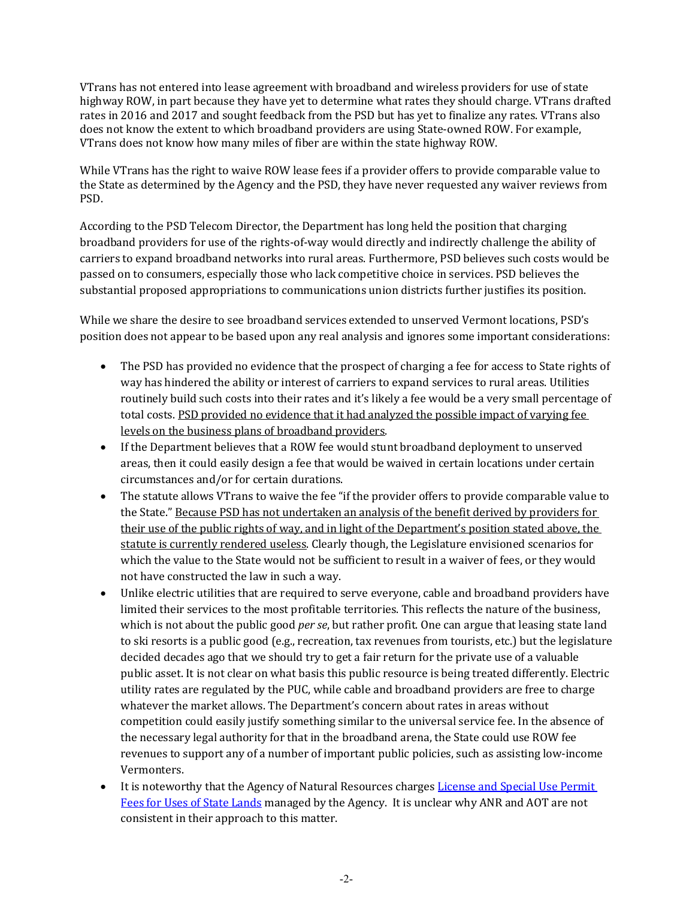VTrans has not entered into lease agreement with broadband and wireless providers for use of state highway ROW, in part because they have yet to determine what rates they should charge. VTrans drafted rates in 2016 and 2017 and sought feedback from the PSD but has yet to finalize any rates. VTrans also does not know the extent to which broadband providers are using State-owned ROW. For example, VTrans does not know how many miles of fiber are within the state highway ROW.

While VTrans has the right to waive ROW lease fees if a provider offers to provide comparable value to the State as determined by the Agency and the PSD, they have never requested any waiver reviews from PSD.

According to the PSD Telecom Director, the Department has long held the position that charging broadband providers for use of the rights-of-way would directly and indirectly challenge the ability of carriers to expand broadband networks into rural areas. Furthermore, PSD believes such costs would be passed on to consumers, especially those who lack competitive choice in services. PSD believes the substantial proposed appropriations to communications union districts further justifies its position.

While we share the desire to see broadband services extended to unserved Vermont locations, PSD's position does not appear to be based upon any real analysis and ignores some important considerations:

- The PSD has provided no evidence that the prospect of charging a fee for access to State rights of way has hindered the ability or interest of carriers to expand services to rural areas. Utilities routinely build such costs into their rates and it's likely a fee would be a very small percentage of total costs. PSD provided no evidence that it had analyzed the possible impact of varying fee levels on the business plans of broadband providers.
- If the Department believes that a ROW fee would stunt broadband deployment to unserved areas, then it could easily design a fee that would be waived in certain locations under certain circumstances and/or for certain durations.
- The statute allows VTrans to waive the fee "if the provider offers to provide comparable value to the State." Because PSD has not undertaken an analysis of the benefit derived by providers for their use of the public rights of way, and in light of the Department's position stated above, the statute is currently rendered useless. Clearly though, the Legislature envisioned scenarios for which the value to the State would not be sufficient to result in a waiver of fees, or they would not have constructed the law in such a way.
- Unlike electric utilities that are required to serve everyone, cable and broadband providers have limited their services to the most profitable territories. This reflects the nature of the business, which is not about the public good *per se*, but rather profit. One can argue that leasing state land to ski resorts is a public good (e.g., recreation, tax revenues from tourists, etc.) but the legislature decided decades ago that we should try to get a fair return for the private use of a valuable public asset. It is not clear on what basis this public resource is being treated differently. Electric utility rates are regulated by the PUC, while cable and broadband providers are free to charge whatever the market allows. The Department's concern about rates in areas without competition could easily justify something similar to the universal service fee. In the absence of the necessary legal authority for that in the broadband arena, the State could use ROW fee revenues to support any of a number of important public policies, such as assisting low-income Vermonters.
- It is noteworthy that the Agency of Natural Resources charges [License and Special Use Permit](https://fpr.vermont.gov/sites/fpr/files/State_Lands_Administration/Leases_Licenses_and_Permits/Library/LicenseSUPFees.10192015.pdf)  Fees for Uses of State Lands managed by the Agency. It is unclear why ANR and AOT are not consistent in their approach to this matter.